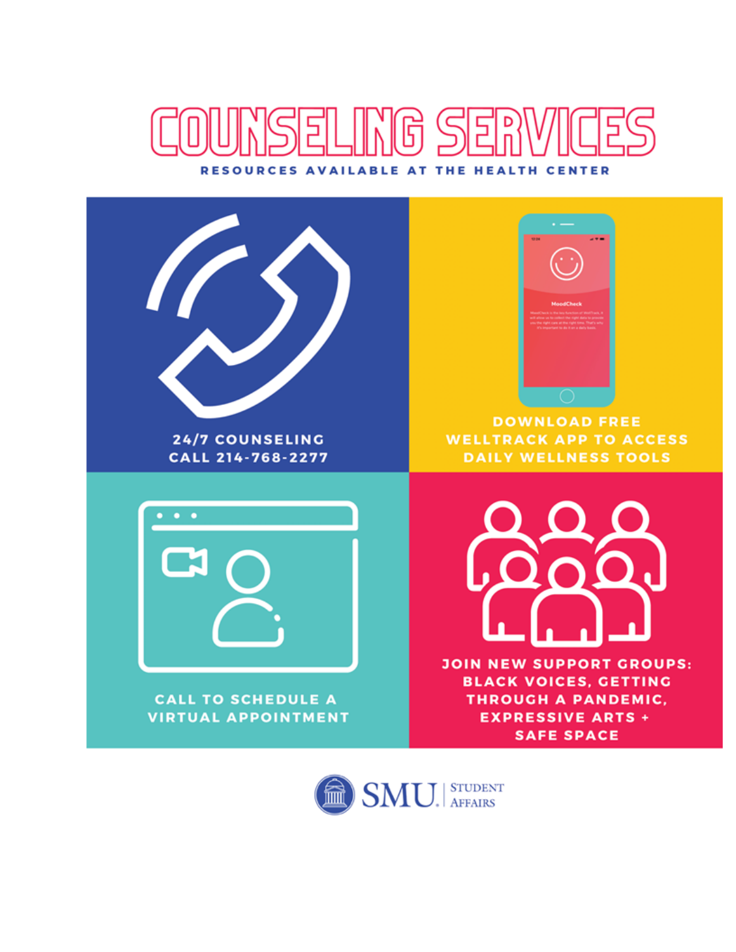